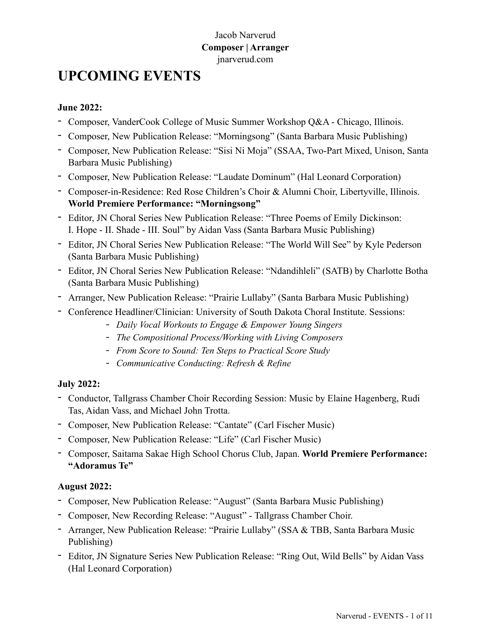# Jacob Narverud **Composer | Arranger** [jnarverud.com](http://www.jnarverud.com)

# **UPCOMING EVENTS**

# **June 2022:**

- Composer, VanderCook College of Music Summer Workshop Q&A Chicago, Illinois.
- Composer, New Publication Release: "Morningsong" (Santa Barbara Music Publishing)
- Composer, New Publication Release: "Sisi Ni Moja" (SSAA, Two-Part Mixed, Unison, Santa Barbara Music Publishing)
- Composer, New Publication Release: "Laudate Dominum" (Hal Leonard Corporation)
- Composer-in-Residence: Red Rose Children's Choir & Alumni Choir, Libertyville, Illinois. **World Premiere Performance: "Morningsong"**
- Editor, JN Choral Series New Publication Release: "Three Poems of Emily Dickinson: I. Hope - II. Shade - III. Soul" by Aidan Vass (Santa Barbara Music Publishing)
- Editor, JN Choral Series New Publication Release: "The World Will See" by Kyle Pederson (Santa Barbara Music Publishing)
- Editor, JN Choral Series New Publication Release: "Ndandihleli" (SATB) by Charlotte Botha (Santa Barbara Music Publishing)
- Arranger, New Publication Release: "Prairie Lullaby" (Santa Barbara Music Publishing)
- Conference Headliner/Clinician: University of South Dakota Choral Institute. Sessions:
	- *- Daily Vocal Workouts to Engage & Empower Young Singers*
	- *- The Compositional Process/Working with Living Composers*
	- *- From Score to Sound: Ten Steps to Practical Score Study*
	- *- Communicative Conducting: Refresh & Refine*

### **July 2022:**

- Conductor, Tallgrass Chamber Choir Recording Session: Music by Elaine Hagenberg, Rudi Tas, Aidan Vass, and Michael John Trotta.
- Composer, New Publication Release: "Cantate" (Carl Fischer Music)
- Composer, New Publication Release: "Life" (Carl Fischer Music)
- Composer, Saitama Sakae High School Chorus Club, Japan. **World Premiere Performance: "Adoramus Te"**

# **August 2022:**

- Composer, New Publication Release: "August" (Santa Barbara Music Publishing)
- Composer, New Recording Release: "August" Tallgrass Chamber Choir.
- Arranger, New Publication Release: "Prairie Lullaby" (SSA & TBB, Santa Barbara Music Publishing)
- Editor, JN Signature Series New Publication Release: "Ring Out, Wild Bells" by Aidan Vass (Hal Leonard Corporation)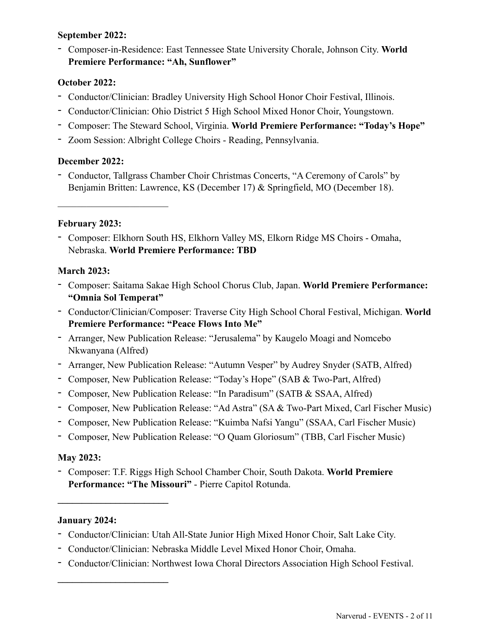# **September 2022:**

- Composer-in-Residence: East Tennessee State University Chorale, Johnson City. **World Premiere Performance: "Ah, Sunflower"**

# **October 2022:**

- Conductor/Clinician: Bradley University High School Honor Choir Festival, Illinois.
- Conductor/Clinician: Ohio District 5 High School Mixed Honor Choir, Youngstown.
- Composer: The Steward School, Virginia. **World Premiere Performance: "Today's Hope"**
- Zoom Session: Albright College Choirs Reading, Pennsylvania.

### **December 2022:**

- Conductor, Tallgrass Chamber Choir Christmas Concerts, "A Ceremony of Carols" by Benjamin Britten: Lawrence, KS (December 17) & Springfield, MO (December 18).

# **February 2023:**

 $\mathcal{L}_\text{max}$  , where  $\mathcal{L}_\text{max}$  , we have the set of  $\mathcal{L}_\text{max}$ 

- Composer: Elkhorn South HS, Elkhorn Valley MS, Elkorn Ridge MS Choirs - Omaha, Nebraska. **World Premiere Performance: TBD**

# **March 2023:**

- Composer: Saitama Sakae High School Chorus Club, Japan. **World Premiere Performance: "Omnia Sol Temperat"**
- Conductor/Clinician/Composer: Traverse City High School Choral Festival, Michigan. **World Premiere Performance: "Peace Flows Into Me"**
- Arranger, New Publication Release: "Jerusalema" by Kaugelo Moagi and Nomcebo Nkwanyana (Alfred)
- Arranger, New Publication Release: "Autumn Vesper" by Audrey Snyder (SATB, Alfred)
- Composer, New Publication Release: "Today's Hope" (SAB & Two-Part, Alfred)
- Composer, New Publication Release: "In Paradisum" (SATB & SSAA, Alfred)
- Composer, New Publication Release: "Ad Astra" (SA & Two-Part Mixed, Carl Fischer Music)
- Composer, New Publication Release: "Kuimba Nafsi Yangu" (SSAA, Carl Fischer Music)
- Composer, New Publication Release: "O Quam Gloriosum" (TBB, Carl Fischer Music)

### **May 2023:**

- Composer: T.F. Riggs High School Chamber Choir, South Dakota. **World Premiere Performance: "The Missouri"** - Pierre Capitol Rotunda.

### **January 2024:**

**\_\_\_\_\_\_\_\_\_\_\_\_\_\_\_\_\_\_\_\_\_\_\_**

**\_\_\_\_\_\_\_\_\_\_\_\_\_\_\_\_\_\_\_\_\_\_\_**

- Conductor/Clinician: Utah All-State Junior High Mixed Honor Choir, Salt Lake City.
- Conductor/Clinician: Nebraska Middle Level Mixed Honor Choir, Omaha.
- Conductor/Clinician: Northwest Iowa Choral Directors Association High School Festival.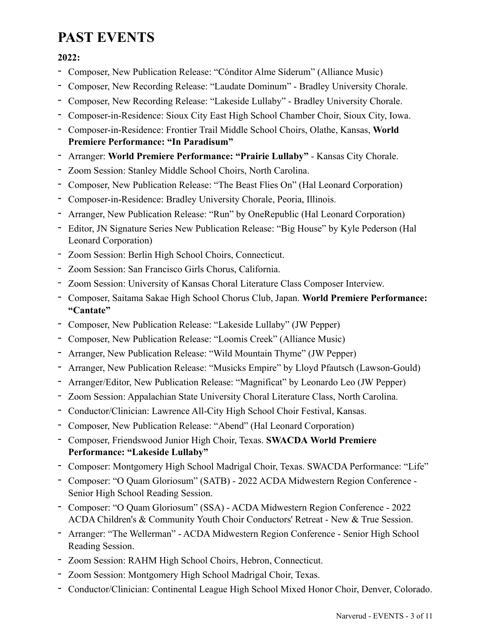# **PAST EVENTS**

**2022:**

- Composer, New Publication Release: "Cónditor Alme Síderum" (Alliance Music)
- Composer, New Recording Release: "Laudate Dominum" Bradley University Chorale.
- Composer, New Recording Release: "Lakeside Lullaby" Bradley University Chorale.
- Composer-in-Residence: Sioux City East High School Chamber Choir, Sioux City, Iowa.
- Composer-in-Residence: Frontier Trail Middle School Choirs, Olathe, Kansas, **World Premiere Performance: "In Paradisum"**
- Arranger: **World Premiere Performance: "Prairie Lullaby"**  Kansas City Chorale.
- Zoom Session: Stanley Middle School Choirs, North Carolina.
- Composer, New Publication Release: "The Beast Flies On" (Hal Leonard Corporation)
- Composer-in-Residence: Bradley University Chorale, Peoria, Illinois.
- Arranger, New Publication Release: "Run" by OneRepublic (Hal Leonard Corporation)
- Editor, JN Signature Series New Publication Release: "Big House" by Kyle Pederson (Hal Leonard Corporation)
- *-* Zoom Session: Berlin High School Choirs, Connecticut.
- *-* Zoom Session: San Francisco Girls Chorus, California.
- *-* Zoom Session: University of Kansas Choral Literature Class Composer Interview.
- Composer, Saitama Sakae High School Chorus Club, Japan. **World Premiere Performance: "Cantate"**
- Composer, New Publication Release: "Lakeside Lullaby" (JW Pepper)
- Composer, New Publication Release: "Loomis Creek" (Alliance Music)
- Arranger, New Publication Release: "Wild Mountain Thyme" (JW Pepper)
- Arranger, New Publication Release: "Musicks Empire" by Lloyd Pfautsch (Lawson-Gould)
- Arranger/Editor, New Publication Release: "Magnificat" by Leonardo Leo (JW Pepper)
- *-* Zoom Session: Appalachian State University Choral Literature Class, North Carolina.
- Conductor/Clinician: Lawrence All-City High School Choir Festival, Kansas.
- Composer, New Publication Release: "Abend" (Hal Leonard Corporation)
- Composer, Friendswood Junior High Choir, Texas. **SWACDA World Premiere Performance: "Lakeside Lullaby"**
- Composer: Montgomery High School Madrigal Choir, Texas. SWACDA Performance: "Life"
- Composer: "O Quam Gloriosum" (SATB) 2022 ACDA Midwestern Region Conference Senior High School Reading Session.
- Composer: "O Quam Gloriosum" (SSA) ACDA Midwestern Region Conference 2022 ACDA Children's & Community Youth Choir Conductors' Retreat - New & True Session.
- Arranger: "The Wellerman" ACDA Midwestern Region Conference Senior High School Reading Session.
- Zoom Session: RAHM High School Choirs, Hebron, Connecticut.
- Zoom Session: Montgomery High School Madrigal Choir, Texas.
- Conductor/Clinician: Continental League High School Mixed Honor Choir, Denver, Colorado.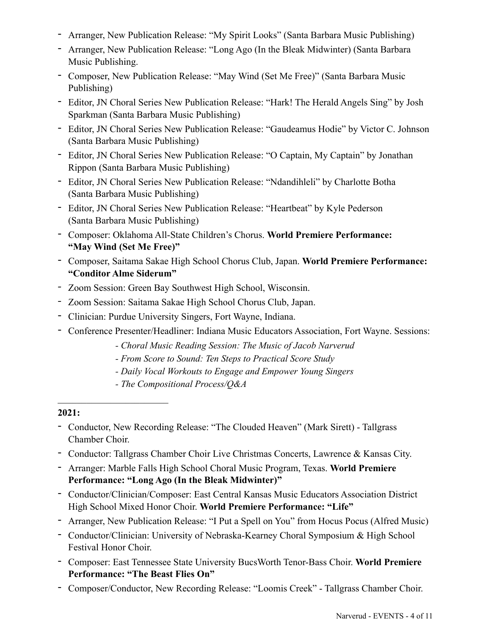- Arranger, New Publication Release: "My Spirit Looks" (Santa Barbara Music Publishing)
- Arranger, New Publication Release: "Long Ago (In the Bleak Midwinter) (Santa Barbara Music Publishing.
- Composer, New Publication Release: "May Wind (Set Me Free)" (Santa Barbara Music Publishing)
- Editor, JN Choral Series New Publication Release: "Hark! The Herald Angels Sing" by Josh Sparkman (Santa Barbara Music Publishing)
- Editor, JN Choral Series New Publication Release: "Gaudeamus Hodie" by Victor C. Johnson (Santa Barbara Music Publishing)
- Editor, JN Choral Series New Publication Release: "O Captain, My Captain" by Jonathan Rippon (Santa Barbara Music Publishing)
- Editor, JN Choral Series New Publication Release: "Ndandihleli" by Charlotte Botha (Santa Barbara Music Publishing)
- Editor, JN Choral Series New Publication Release: "Heartbeat" by Kyle Pederson (Santa Barbara Music Publishing)
- Composer: Oklahoma All-State Children's Chorus. **World Premiere Performance: "May Wind (Set Me Free)"**
- Composer, Saitama Sakae High School Chorus Club, Japan. **World Premiere Performance: "Conditor Alme Siderum"**
- *-* Zoom Session: Green Bay Southwest High School, Wisconsin.
- *-* Zoom Session: Saitama Sakae High School Chorus Club, Japan.
- Clinician: Purdue University Singers, Fort Wayne, Indiana.
- Conference Presenter/Headliner: Indiana Music Educators Association, Fort Wayne. Sessions:
	- *Choral Music Reading Session: The Music of Jacob Narverud*
	- *From Score to Sound: Ten Steps to Practical Score Study*
	- *Daily Vocal Workouts to Engage and Empower Young Singers*
	- *The Compositional Process/Q&A*

- Conductor, New Recording Release: "The Clouded Heaven" (Mark Sirett) Tallgrass Chamber Choir.
- Conductor: Tallgrass Chamber Choir Live Christmas Concerts, Lawrence & Kansas City.
- Arranger: Marble Falls High School Choral Music Program, Texas. **World Premiere Performance: "Long Ago (In the Bleak Midwinter)"**
- Conductor/Clinician/Composer: East Central Kansas Music Educators Association District High School Mixed Honor Choir. **World Premiere Performance: "Life"**
- Arranger, New Publication Release: "I Put a Spell on You" from Hocus Pocus (Alfred Music)
- Conductor/Clinician: University of Nebraska-Kearney Choral Symposium & High School Festival Honor Choir.
- Composer: East Tennessee State University BucsWorth Tenor-Bass Choir. **World Premiere Performance: "The Beast Flies On"**
- Composer/Conductor, New Recording Release: "Loomis Creek" Tallgrass Chamber Choir.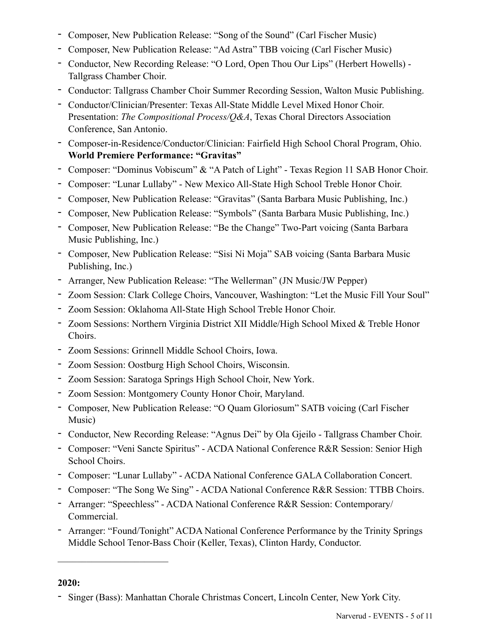- Composer, New Publication Release: "Song of the Sound" (Carl Fischer Music)
- Composer, New Publication Release: "Ad Astra" TBB voicing (Carl Fischer Music)
- Conductor, New Recording Release: "O Lord, Open Thou Our Lips" (Herbert Howells) Tallgrass Chamber Choir.
- Conductor: Tallgrass Chamber Choir Summer Recording Session, Walton Music Publishing.
- Conductor/Clinician/Presenter: Texas All-State Middle Level Mixed Honor Choir. Presentation: *The Compositional Process/Q&A*, Texas Choral Directors Association Conference, San Antonio.
- Composer-in-Residence/Conductor/Clinician: Fairfield High School Choral Program, Ohio. **World Premiere Performance: "Gravitas"**
- Composer: "Dominus Vobiscum" & "A Patch of Light" Texas Region 11 SAB Honor Choir.
- Composer: "Lunar Lullaby" New Mexico All-State High School Treble Honor Choir.
- Composer, New Publication Release: "Gravitas" (Santa Barbara Music Publishing, Inc.)
- Composer, New Publication Release: "Symbols" (Santa Barbara Music Publishing, Inc.)
- Composer, New Publication Release: "Be the Change" Two-Part voicing (Santa Barbara Music Publishing, Inc.)
- Composer, New Publication Release: "Sisi Ni Moja" SAB voicing (Santa Barbara Music Publishing, Inc.)
- Arranger, New Publication Release: "The Wellerman" (JN Music/JW Pepper)
- Zoom Session: Clark College Choirs, Vancouver, Washington: "Let the Music Fill Your Soul"
- Zoom Session: Oklahoma All-State High School Treble Honor Choir.
- Zoom Sessions: Northern Virginia District XII Middle/High School Mixed & Treble Honor Choirs.
- Zoom Sessions: Grinnell Middle School Choirs, Iowa.
- Zoom Session: Oostburg High School Choirs, Wisconsin.
- Zoom Session: Saratoga Springs High School Choir, New York.
- Zoom Session: Montgomery County Honor Choir, Maryland.
- Composer, New Publication Release: "O Quam Gloriosum" SATB voicing (Carl Fischer Music)
- Conductor, New Recording Release: "Agnus Dei" by Ola Gjeilo Tallgrass Chamber Choir.
- Composer: "Veni Sancte Spiritus" ACDA National Conference R&R Session: Senior High School Choirs.
- Composer: "Lunar Lullaby" ACDA National Conference GALA Collaboration Concert.
- Composer: "The Song We Sing" ACDA National Conference R&R Session: TTBB Choirs.
- Arranger: "Speechless" ACDA National Conference R&R Session: Contemporary/ Commercial.
- Arranger: "Found/Tonight" ACDA National Conference Performance by the Trinity Springs Middle School Tenor-Bass Choir (Keller, Texas), Clinton Hardy, Conductor.

<sup>-</sup> Singer (Bass): Manhattan Chorale Christmas Concert, Lincoln Center, New York City.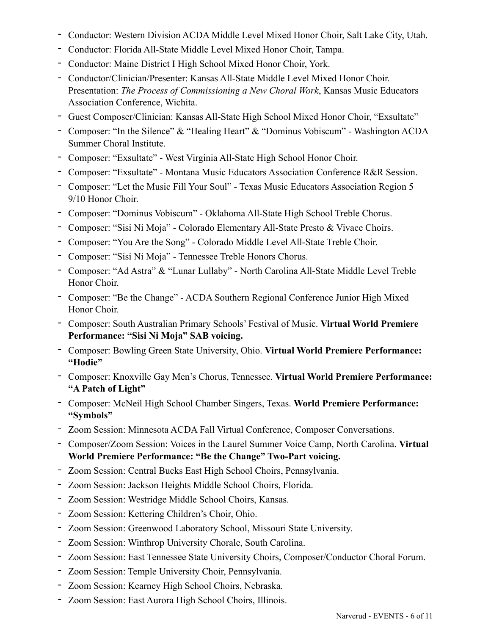- Conductor: Western Division ACDA Middle Level Mixed Honor Choir, Salt Lake City, Utah.
- Conductor: Florida All-State Middle Level Mixed Honor Choir, Tampa.
- Conductor: Maine District I High School Mixed Honor Choir, York.
- Conductor/Clinician/Presenter: Kansas All-State Middle Level Mixed Honor Choir. Presentation: *The Process of Commissioning a New Choral Work*, Kansas Music Educators Association Conference, Wichita.
- Guest Composer/Clinician: Kansas All-State High School Mixed Honor Choir, "Exsultate"
- Composer: "In the Silence" & "Healing Heart" & "Dominus Vobiscum" Washington ACDA Summer Choral Institute.
- Composer: "Exsultate" West Virginia All-State High School Honor Choir.
- Composer: "Exsultate" Montana Music Educators Association Conference R&R Session.
- Composer: "Let the Music Fill Your Soul" Texas Music Educators Association Region 5 9/10 Honor Choir.
- Composer: "Dominus Vobiscum" Oklahoma All-State High School Treble Chorus.
- Composer: "Sisi Ni Moja" Colorado Elementary All-State Presto & Vivace Choirs.
- Composer: "You Are the Song" Colorado Middle Level All-State Treble Choir.
- Composer: "Sisi Ni Moja" Tennessee Treble Honors Chorus.
- Composer: "Ad Astra" & "Lunar Lullaby" North Carolina All-State Middle Level Treble Honor Choir.
- Composer: "Be the Change" ACDA Southern Regional Conference Junior High Mixed Honor Choir.
- Composer: South Australian Primary Schools' Festival of Music. **Virtual World Premiere Performance: "Sisi Ni Moja" SAB voicing.**
- Composer: Bowling Green State University, Ohio. **Virtual World Premiere Performance: "Hodie"**
- Composer: Knoxville Gay Men's Chorus, Tennessee. **Virtual World Premiere Performance: "A Patch of Light"**
- Composer: McNeil High School Chamber Singers, Texas. **World Premiere Performance: "Symbols"**
- *-* Zoom Session: Minnesota ACDA Fall Virtual Conference, Composer Conversations.
- *-* Composer/Zoom Session: Voices in the Laurel Summer Voice Camp, North Carolina. **Virtual World Premiere Performance: "Be the Change" Two-Part voicing.**
- *-* Zoom Session: Central Bucks East High School Choirs, Pennsylvania.
- *-* Zoom Session: Jackson Heights Middle School Choirs, Florida.
- *-* Zoom Session: Westridge Middle School Choirs, Kansas.
- *-* Zoom Session: Kettering Children's Choir, Ohio.
- Zoom Session: Greenwood Laboratory School, Missouri State University.
- Zoom Session: Winthrop University Chorale, South Carolina.
- Zoom Session: East Tennessee State University Choirs, Composer/Conductor Choral Forum.
- Zoom Session: Temple University Choir, Pennsylvania.
- Zoom Session: Kearney High School Choirs, Nebraska.
- Zoom Session: East Aurora High School Choirs, Illinois.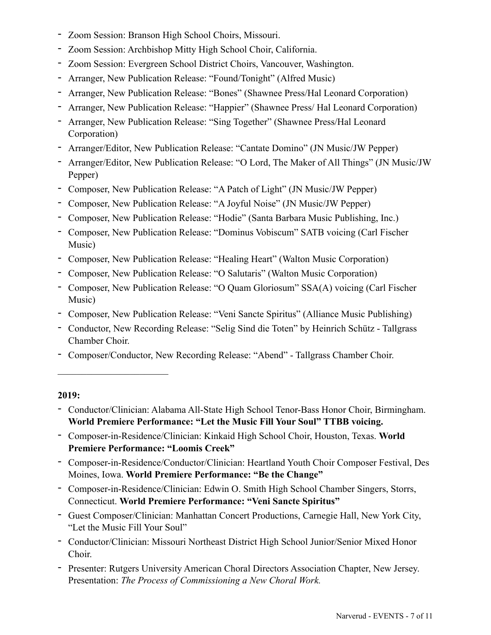- Zoom Session: Branson High School Choirs, Missouri.
- Zoom Session: Archbishop Mitty High School Choir, California.
- Zoom Session: Evergreen School District Choirs, Vancouver, Washington.
- Arranger, New Publication Release: "Found/Tonight" (Alfred Music)
- Arranger, New Publication Release: "Bones" (Shawnee Press/Hal Leonard Corporation)
- Arranger, New Publication Release: "Happier" (Shawnee Press/ Hal Leonard Corporation)
- Arranger, New Publication Release: "Sing Together" (Shawnee Press/Hal Leonard Corporation)
- Arranger/Editor, New Publication Release: "Cantate Domino" (JN Music/JW Pepper)
- Arranger/Editor, New Publication Release: "O Lord, The Maker of All Things" (JN Music/JW Pepper)
- Composer, New Publication Release: "A Patch of Light" (JN Music/JW Pepper)
- Composer, New Publication Release: "A Joyful Noise" (JN Music/JW Pepper)
- Composer, New Publication Release: "Hodie" (Santa Barbara Music Publishing, Inc.)
- Composer, New Publication Release: "Dominus Vobiscum" SATB voicing (Carl Fischer Music)
- Composer, New Publication Release: "Healing Heart" (Walton Music Corporation)
- Composer, New Publication Release: "O Salutaris" (Walton Music Corporation)
- Composer, New Publication Release: "O Quam Gloriosum" SSA(A) voicing (Carl Fischer Music)
- Composer, New Publication Release: "Veni Sancte Spiritus" (Alliance Music Publishing)
- Conductor, New Recording Release: "Selig Sind die Toten" by Heinrich Schütz Tallgrass Chamber Choir.
- Composer/Conductor, New Recording Release: "Abend" Tallgrass Chamber Choir.

- Conductor/Clinician: Alabama All-State High School Tenor-Bass Honor Choir, Birmingham. **World Premiere Performance: "Let the Music Fill Your Soul" TTBB voicing.**
- Composer-in-Residence/Clinician: Kinkaid High School Choir, Houston, Texas. **World Premiere Performance: "Loomis Creek"**
- Composer-in-Residence/Conductor/Clinician: Heartland Youth Choir Composer Festival, Des Moines, Iowa. **World Premiere Performance: "Be the Change"**
- Composer-in-Residence/Clinician: Edwin O. Smith High School Chamber Singers, Storrs, Connecticut. **World Premiere Performance: "Veni Sancte Spiritus"**
- Guest Composer/Clinician: Manhattan Concert Productions, Carnegie Hall, New York City, "Let the Music Fill Your Soul"
- Conductor/Clinician: Missouri Northeast District High School Junior/Senior Mixed Honor Choir.
- Presenter: Rutgers University American Choral Directors Association Chapter, New Jersey. Presentation: *The Process of Commissioning a New Choral Work.*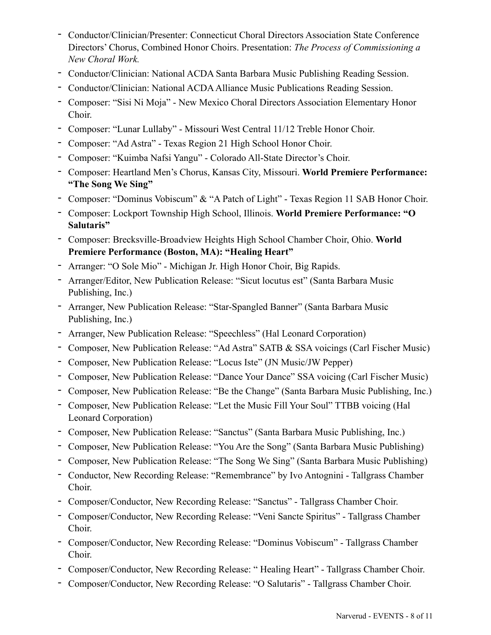- Conductor/Clinician/Presenter: Connecticut Choral Directors Association State Conference Directors' Chorus, Combined Honor Choirs. Presentation: *The Process of Commissioning a New Choral Work.*
- Conductor/Clinician: National ACDA Santa Barbara Music Publishing Reading Session.
- Conductor/Clinician: National ACDA Alliance Music Publications Reading Session.
- Composer: "Sisi Ni Moja" New Mexico Choral Directors Association Elementary Honor Choir.
- Composer: "Lunar Lullaby" Missouri West Central 11/12 Treble Honor Choir.
- Composer: "Ad Astra" Texas Region 21 High School Honor Choir.
- Composer: "Kuimba Nafsi Yangu" Colorado All-State Director's Choir.
- Composer: Heartland Men's Chorus, Kansas City, Missouri. **World Premiere Performance: "The Song We Sing"**
- Composer: "Dominus Vobiscum" & "A Patch of Light" Texas Region 11 SAB Honor Choir.
- Composer: Lockport Township High School, Illinois. **World Premiere Performance: "O Salutaris"**
- Composer: Brecksville-Broadview Heights High School Chamber Choir, Ohio. **World Premiere Performance (Boston, MA): "Healing Heart"**
- Arranger: "O Sole Mio" Michigan Jr. High Honor Choir, Big Rapids.
- Arranger/Editor, New Publication Release: "Sicut locutus est" (Santa Barbara Music Publishing, Inc.)
- Arranger, New Publication Release: "Star-Spangled Banner" (Santa Barbara Music Publishing, Inc.)
- Arranger, New Publication Release: "Speechless" (Hal Leonard Corporation)
- Composer, New Publication Release: "Ad Astra" SATB & SSA voicings (Carl Fischer Music)
- Composer, New Publication Release: "Locus Iste" (JN Music/JW Pepper)
- Composer, New Publication Release: "Dance Your Dance" SSA voicing (Carl Fischer Music)
- Composer, New Publication Release: "Be the Change" (Santa Barbara Music Publishing, Inc.)
- Composer, New Publication Release: "Let the Music Fill Your Soul" TTBB voicing (Hal Leonard Corporation)
- Composer, New Publication Release: "Sanctus" (Santa Barbara Music Publishing, Inc.)
- Composer, New Publication Release: "You Are the Song" (Santa Barbara Music Publishing)
- Composer, New Publication Release: "The Song We Sing" (Santa Barbara Music Publishing)
- Conductor, New Recording Release: "Remembrance" by Ivo Antognini Tallgrass Chamber Choir.
- Composer/Conductor, New Recording Release: "Sanctus" Tallgrass Chamber Choir.
- Composer/Conductor, New Recording Release: "Veni Sancte Spiritus" Tallgrass Chamber Choir.
- Composer/Conductor, New Recording Release: "Dominus Vobiscum" Tallgrass Chamber Choir.
- Composer/Conductor, New Recording Release: " Healing Heart" Tallgrass Chamber Choir.
- Composer/Conductor, New Recording Release: "O Salutaris" Tallgrass Chamber Choir.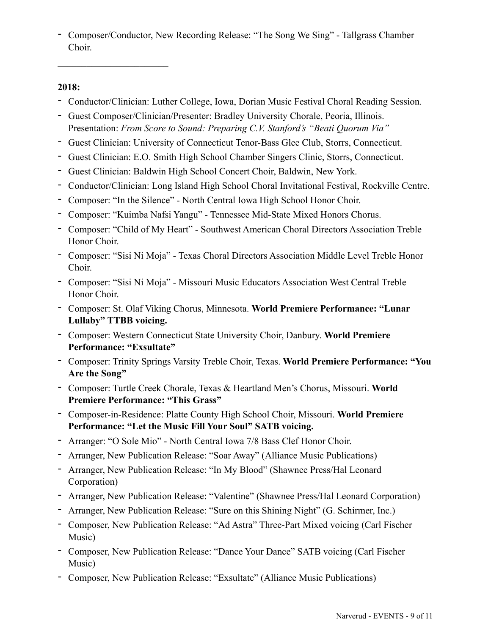- Composer/Conductor, New Recording Release: "The Song We Sing" - Tallgrass Chamber Choir.

## **2018:**

- Conductor/Clinician: Luther College, Iowa, Dorian Music Festival Choral Reading Session.
- Guest Composer/Clinician/Presenter: Bradley University Chorale, Peoria, Illinois. Presentation: *From Score to Sound: Preparing C.V. Stanford's "Beati Quorum Via"*
- Guest Clinician: University of Connecticut Tenor-Bass Glee Club, Storrs, Connecticut.
- Guest Clinician: E.O. Smith High School Chamber Singers Clinic, Storrs, Connecticut.
- Guest Clinician: Baldwin High School Concert Choir, Baldwin, New York.
- Conductor/Clinician: Long Island High School Choral Invitational Festival, Rockville Centre.
- Composer: "In the Silence" North Central Iowa High School Honor Choir.
- Composer: "Kuimba Nafsi Yangu" Tennessee Mid-State Mixed Honors Chorus.
- Composer: "Child of My Heart" Southwest American Choral Directors Association Treble Honor Choir.
- Composer: "Sisi Ni Moja" Texas Choral Directors Association Middle Level Treble Honor Choir.
- Composer: "Sisi Ni Moja" Missouri Music Educators Association West Central Treble Honor Choir.
- Composer: St. Olaf Viking Chorus, Minnesota. **World Premiere Performance: "Lunar Lullaby" TTBB voicing.**
- Composer: Western Connecticut State University Choir, Danbury. **World Premiere Performance: "Exsultate"**
- Composer: Trinity Springs Varsity Treble Choir, Texas. **World Premiere Performance: "You Are the Song"**
- Composer: Turtle Creek Chorale, Texas & Heartland Men's Chorus, Missouri. **World Premiere Performance: "This Grass"**
- Composer-in-Residence: Platte County High School Choir, Missouri. **World Premiere Performance: "Let the Music Fill Your Soul" SATB voicing.**
- Arranger: "O Sole Mio" North Central Iowa 7/8 Bass Clef Honor Choir.
- Arranger, New Publication Release: "Soar Away" (Alliance Music Publications)
- Arranger, New Publication Release: "In My Blood" (Shawnee Press/Hal Leonard Corporation)
- Arranger, New Publication Release: "Valentine" (Shawnee Press/Hal Leonard Corporation)
- Arranger, New Publication Release: "Sure on this Shining Night" (G. Schirmer, Inc.)
- Composer, New Publication Release: "Ad Astra" Three-Part Mixed voicing (Carl Fischer Music)
- Composer, New Publication Release: "Dance Your Dance" SATB voicing (Carl Fischer Music)
- Composer, New Publication Release: "Exsultate" (Alliance Music Publications)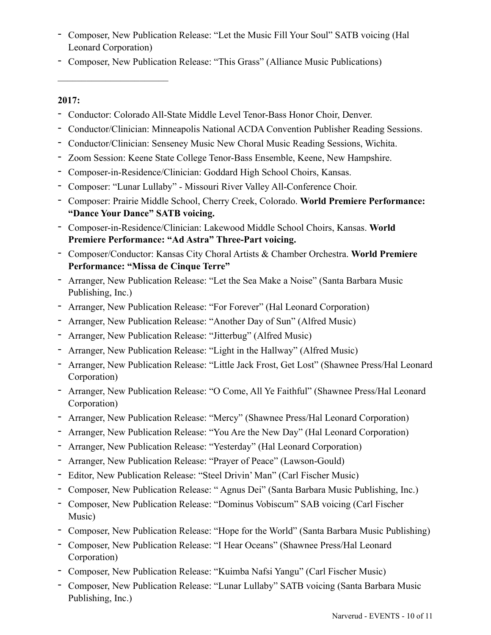- Composer, New Publication Release: "Let the Music Fill Your Soul" SATB voicing (Hal Leonard Corporation)
- Composer, New Publication Release: "This Grass" (Alliance Music Publications)

- Conductor: Colorado All-State Middle Level Tenor-Bass Honor Choir, Denver.
- Conductor/Clinician: Minneapolis National ACDA Convention Publisher Reading Sessions.
- Conductor/Clinician: Senseney Music New Choral Music Reading Sessions, Wichita.
- Zoom Session: Keene State College Tenor-Bass Ensemble, Keene, New Hampshire.
- Composer-in-Residence/Clinician: Goddard High School Choirs, Kansas.
- Composer: "Lunar Lullaby" Missouri River Valley All-Conference Choir.
- Composer: Prairie Middle School, Cherry Creek, Colorado. **World Premiere Performance: "Dance Your Dance" SATB voicing.**
- Composer-in-Residence/Clinician: Lakewood Middle School Choirs, Kansas. **World Premiere Performance: "Ad Astra" Three-Part voicing.**
- Composer/Conductor: Kansas City Choral Artists & Chamber Orchestra. **World Premiere Performance: "Missa de Cinque Terre"**
- Arranger, New Publication Release: "Let the Sea Make a Noise" (Santa Barbara Music Publishing, Inc.)
- Arranger, New Publication Release: "For Forever" (Hal Leonard Corporation)
- Arranger, New Publication Release: "Another Day of Sun" (Alfred Music)
- Arranger, New Publication Release: "Jitterbug" (Alfred Music)
- Arranger, New Publication Release: "Light in the Hallway" (Alfred Music)
- Arranger, New Publication Release: "Little Jack Frost, Get Lost" (Shawnee Press/Hal Leonard Corporation)
- Arranger, New Publication Release: "O Come, All Ye Faithful" (Shawnee Press/Hal Leonard Corporation)
- Arranger, New Publication Release: "Mercy" (Shawnee Press/Hal Leonard Corporation)
- Arranger, New Publication Release: "You Are the New Day" (Hal Leonard Corporation)
- Arranger, New Publication Release: "Yesterday" (Hal Leonard Corporation)
- Arranger, New Publication Release: "Prayer of Peace" (Lawson-Gould)
- Editor, New Publication Release: "Steel Drivin' Man" (Carl Fischer Music)
- Composer, New Publication Release: " Agnus Dei" (Santa Barbara Music Publishing, Inc.)
- Composer, New Publication Release: "Dominus Vobiscum" SAB voicing (Carl Fischer Music)
- Composer, New Publication Release: "Hope for the World" (Santa Barbara Music Publishing)
- Composer, New Publication Release: "I Hear Oceans" (Shawnee Press/Hal Leonard Corporation)
- Composer, New Publication Release: "Kuimba Nafsi Yangu" (Carl Fischer Music)
- Composer, New Publication Release: "Lunar Lullaby" SATB voicing (Santa Barbara Music Publishing, Inc.)